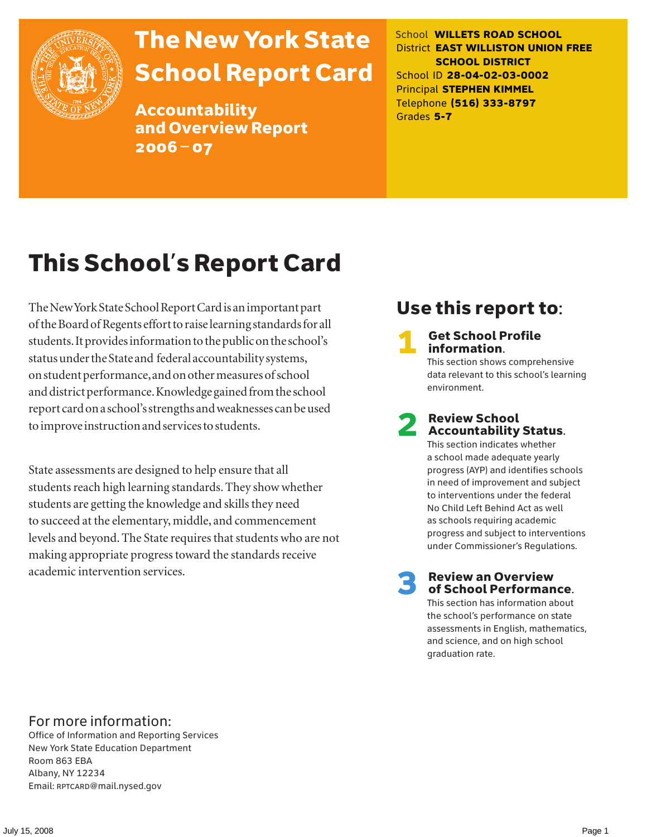

# The New York State School Report Card

Accountability and Overview Report 2006–07

School **WILLETS ROAD SCHOOL** District **EAST WILLISTON UNION FREE SCHOOL DISTRICT** School ID **28-04-02-03-0002** Principal **STEPHEN KIMMEL** Telephone **(516) 333-8797** Grades **5-7**

# This School's Report Card

The New York State School Report Card is an important part of the Board of Regents effort to raise learning standards for all students. It provides information to the public on the school's status under the State and federal accountability systems, on student performance, and on other measures of school and district performance. Knowledge gained from the school report card on a school's strengths and weaknesses can be used to improve instruction and services to students.

State assessments are designed to help ensure that all students reach high learning standards. They show whether students are getting the knowledge and skills they need to succeed at the elementary, middle, and commencement levels and beyond. The State requires that students who are not making appropriate progress toward the standards receive academic intervention services.

### Use this report to:

**Get School Profile** information.

This section shows comprehensive data relevant to this school's learning environment.

# 2 Review School Accountability Status.

This section indicates whether a school made adequate yearly progress (AYP) and identifies schools in need of improvement and subject to interventions under the federal No Child Left Behind Act as well as schools requiring academic progress and subject to interventions under Commissioner's Regulations.

**Review an Overview** of School Performance.

This section has information about the school's performance on state assessments in English, mathematics, and science, and on high school graduation rate.

### For more information:

Office of Information and Reporting Services New York State Education Department Room 863 EBA Albany, NY 12234 Email: RPTCARD@mail.nysed.gov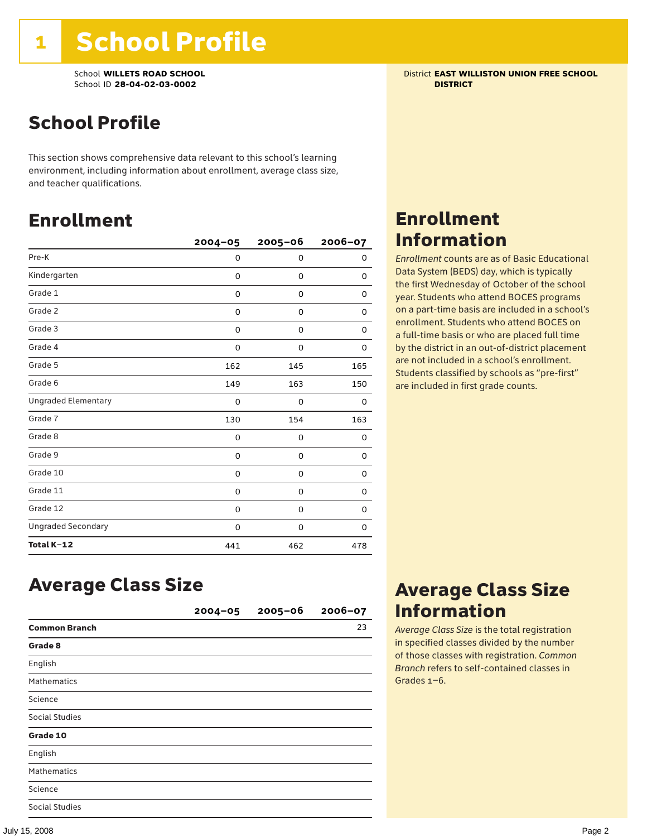School **WILLETS ROAD SCHOOL** District **EAST WILLISTON UNION FREE SCHOOL** School ID **28-04-02-03-0002 DISTRICT**

## School Profile

This section shows comprehensive data relevant to this school's learning environment, including information about enrollment, average class size, and teacher qualifications.

### Enrollment

|                            | $2004 - 05$ | $2005 - 06$ | 2006-07 |
|----------------------------|-------------|-------------|---------|
| Pre-K                      | 0           | 0           | 0       |
| Kindergarten               | 0           | 0           | 0       |
| Grade 1                    | 0           | 0           | 0       |
| Grade 2                    | 0           | 0           | 0       |
| Grade 3                    | 0           | 0           | 0       |
| Grade 4                    | 0           | 0           | 0       |
| Grade 5                    | 162         | 145         | 165     |
| Grade 6                    | 149         | 163         | 150     |
| <b>Ungraded Elementary</b> | 0           | 0           | 0       |
| Grade 7                    | 130         | 154         | 163     |
| Grade 8                    | 0           | 0           | 0       |
| Grade 9                    | 0           | 0           | 0       |
| Grade 10                   | 0           | 0           | 0       |
| Grade 11                   | 0           | 0           | 0       |
| Grade 12                   | 0           | 0           | 0       |
| <b>Ungraded Secondary</b>  | 0           | 0           | 0       |
| Total K-12                 | 441         | 462         | 478     |

### Enrollment Information

*Enrollment* counts are as of Basic Educational Data System (BEDS) day, which is typically the first Wednesday of October of the school year. Students who attend BOCES programs on a part-time basis are included in a school's enrollment. Students who attend BOCES on a full-time basis or who are placed full time by the district in an out-of-district placement are not included in a school's enrollment. Students classified by schools as "pre-first" are included in first grade counts.

### Average Class Size

|                       | $2004 - 05$ | $2005 - 06$ | $2006 - 07$ |
|-----------------------|-------------|-------------|-------------|
| <b>Common Branch</b>  |             |             | 23          |
| Grade 8               |             |             |             |
| English               |             |             |             |
| <b>Mathematics</b>    |             |             |             |
| Science               |             |             |             |
| <b>Social Studies</b> |             |             |             |
| Grade 10              |             |             |             |
| English               |             |             |             |
| <b>Mathematics</b>    |             |             |             |
| Science               |             |             |             |
| <b>Social Studies</b> |             |             |             |

### Average Class Size Information

*Average Class Size* is the total registration in specified classes divided by the number of those classes with registration. *Common Branch* refers to self-contained classes in Grades 1–6.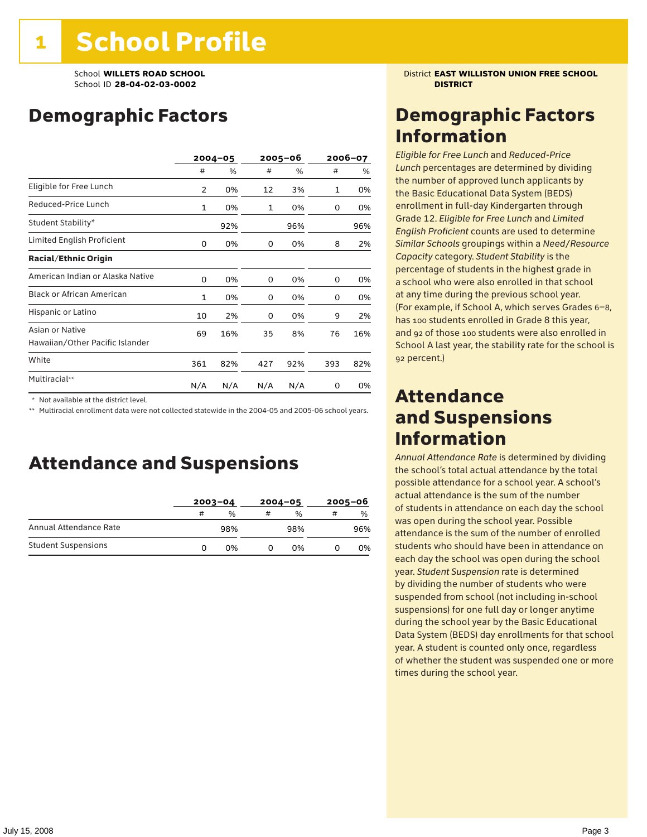### Demographic Factors

|                                                    | $2004 - 05$ |     |     | 2005–06 |     | 2006-07 |  |
|----------------------------------------------------|-------------|-----|-----|---------|-----|---------|--|
|                                                    | #           | %   | #   | %       | #   | %       |  |
| Eligible for Free Lunch                            | 2           | 0%  | 12  | 3%      | 1   | 0%      |  |
| Reduced-Price Lunch                                | 1           | 0%  | 1   | 0%      | 0   | 0%      |  |
| Student Stability*                                 |             | 92% |     | 96%     |     | 96%     |  |
| Limited English Proficient                         | 0           | 0%  | 0   | 0%      | 8   | 2%      |  |
| <b>Racial/Ethnic Origin</b>                        |             |     |     |         |     |         |  |
| American Indian or Alaska Native                   | 0           | 0%  | 0   | 0%      | 0   | 0%      |  |
| <b>Black or African American</b>                   | 1           | 0%  | 0   | 0%      | 0   | 0%      |  |
| Hispanic or Latino                                 | 10          | 2%  | 0   | 0%      | 9   | 2%      |  |
| Asian or Native<br>Hawaiian/Other Pacific Islander | 69          | 16% | 35  | 8%      | 76  | 16%     |  |
| White                                              | 361         | 82% | 427 | 92%     | 393 | 82%     |  |
| Multiracial**                                      | N/A         | N/A | N/A | N/A     | 0   | 0%      |  |

\* Not available at the district level.

\*\* Multiracial enrollment data were not collected statewide in the 2004-05 and 2005-06 school years.

### Attendance and Suspensions

|                            |   | $2003 - 04$ |   | $2004 - 05$   | $2005 - 06$ |               |
|----------------------------|---|-------------|---|---------------|-------------|---------------|
|                            | # | %           | # | $\frac{0}{0}$ | #           | $\frac{0}{0}$ |
| Annual Attendance Rate     |   | 98%         |   | 98%           |             | 96%           |
| <b>Student Suspensions</b> | O | 0%          |   | በ%            |             | 0%            |

School **WILLETS ROAD SCHOOL** District **EAST WILLISTON UNION FREE SCHOOL**

### Demographic Factors Information

*Eligible for Free Lunch* and *Reduced*-*Price Lunch* percentages are determined by dividing the number of approved lunch applicants by the Basic Educational Data System (BEDS) enrollment in full-day Kindergarten through Grade 12. *Eligible for Free Lunch* and *Limited English Proficient* counts are used to determine *Similar Schools* groupings within a *Need*/*Resource Capacity* category. *Student Stability* is the percentage of students in the highest grade in a school who were also enrolled in that school at any time during the previous school year. (For example, if School A, which serves Grades 6–8, has 100 students enrolled in Grade 8 this year, and 92 of those 100 students were also enrolled in School A last year, the stability rate for the school is 92 percent.)

### Attendance and Suspensions Information

*Annual Attendance Rate* is determined by dividing the school's total actual attendance by the total possible attendance for a school year. A school's actual attendance is the sum of the number of students in attendance on each day the school was open during the school year. Possible attendance is the sum of the number of enrolled students who should have been in attendance on each day the school was open during the school year. *Student Suspension* rate is determined by dividing the number of students who were suspended from school (not including in-school suspensions) for one full day or longer anytime during the school year by the Basic Educational Data System (BEDS) day enrollments for that school year. A student is counted only once, regardless of whether the student was suspended one or more times during the school year.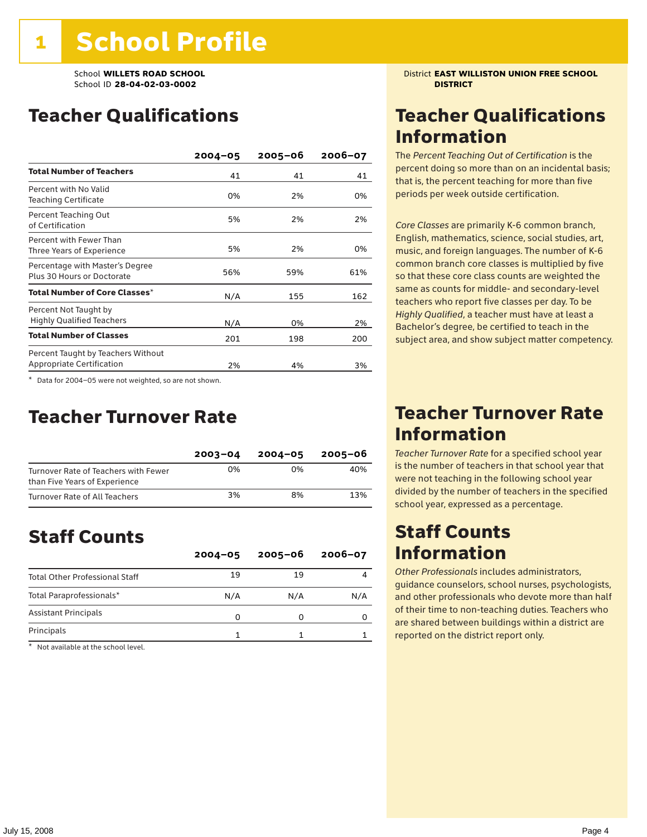### Teacher Qualifications

|                                                                 | $2004 - 05$ | $2005 - 06$ | $2006 - 07$ |
|-----------------------------------------------------------------|-------------|-------------|-------------|
| <b>Total Number of Teachers</b>                                 | 41          | 41          | 41          |
| Percent with No Valid<br><b>Teaching Certificate</b>            | 0%          | 2%          | 0%          |
| Percent Teaching Out<br>of Certification                        | 5%          | 2%          | 2%          |
| Percent with Fewer Than<br>Three Years of Experience            | 5%          | 2%          | 0%          |
| Percentage with Master's Degree<br>Plus 30 Hours or Doctorate   | 56%         | 59%         | 61%         |
| Total Number of Core Classes $^\star$                           | N/A         | 155         | 162         |
| Percent Not Taught by<br><b>Highly Qualified Teachers</b>       | N/A         | 0%          | 2%          |
| <b>Total Number of Classes</b>                                  | 201         | 198         | 200         |
| Percent Taught by Teachers Without<br>Appropriate Certification | 2%          | 4%          | 3%          |

\* Data for 2004–05 were not weighted, so are not shown.

### Teacher Turnover Rate

|                                                                       | $2003 - 04$ | $2004 - 05$ | 2005-06 |
|-----------------------------------------------------------------------|-------------|-------------|---------|
| Turnover Rate of Teachers with Fewer<br>than Five Years of Experience | 0%          | በ%          | 40%     |
| Turnover Rate of All Teachers                                         | 3%          | 8%          | 13%     |

### Staff Counts

|                                       | $2004 - 05$ | $2005 - 06$ | $2006 - 07$ |
|---------------------------------------|-------------|-------------|-------------|
| <b>Total Other Professional Staff</b> | 19          | 19          |             |
| Total Paraprofessionals*              | N/A         | N/A         | N/A         |
| <b>Assistant Principals</b>           | 0           |             |             |
| Principals                            |             |             |             |

\* Not available at the school level.

School **WILLETS ROAD SCHOOL** District **EAST WILLISTON UNION FREE SCHOOL**

### Teacher Qualifications Information

The *Percent Teaching Out of Certification* is the percent doing so more than on an incidental basis; that is, the percent teaching for more than five periods per week outside certification.

*Core Classes* are primarily K-6 common branch, English, mathematics, science, social studies, art, music, and foreign languages. The number of K-6 common branch core classes is multiplied by five so that these core class counts are weighted the same as counts for middle- and secondary-level teachers who report five classes per day. To be *Highly Qualified*, a teacher must have at least a Bachelor's degree, be certified to teach in the subject area, and show subject matter competency.

### Teacher Turnover Rate Information

*Teacher Turnover Rate* for a specified school year is the number of teachers in that school year that were not teaching in the following school year divided by the number of teachers in the specified school year, expressed as a percentage.

### Staff Counts Information

*Other Professionals* includes administrators, guidance counselors, school nurses, psychologists, and other professionals who devote more than half of their time to non-teaching duties. Teachers who are shared between buildings within a district are reported on the district report only.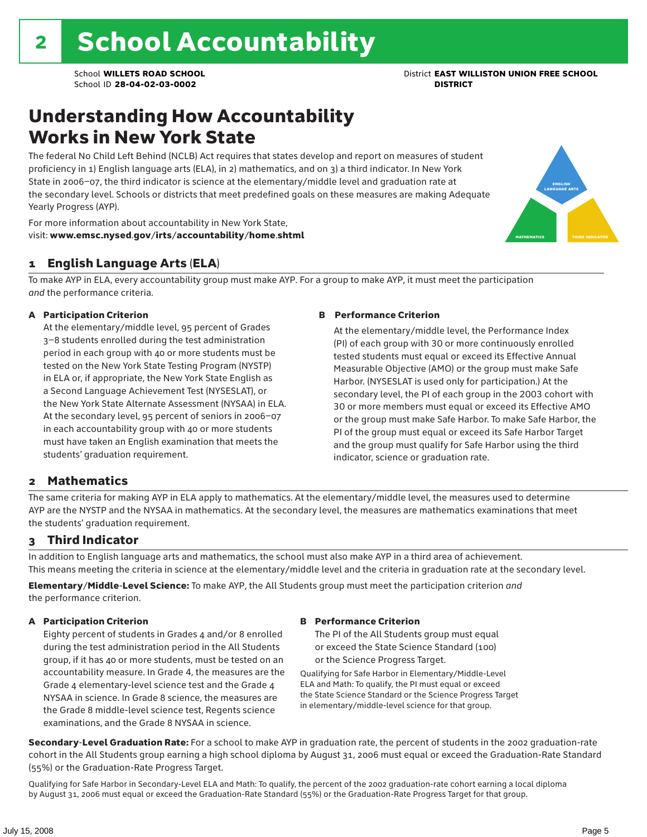### Understanding How Accountability Works in New York State

The federal No Child Left Behind (NCLB) Act requires that states develop and report on measures of student proficiency in 1) English language arts (ELA), in 2) mathematics, and on 3) a third indicator. In New York State in 2006–07, the third indicator is science at the elementary/middle level and graduation rate at the secondary level. Schools or districts that meet predefined goals on these measures are making Adequate Yearly Progress (AYP).



For more information about accountability in New York State, visit: www.emsc.nysed.gov/irts/accountability/home.shtml

### 1 English Language Arts (ELA)

To make AYP in ELA, every accountability group must make AYP. For a group to make AYP, it must meet the participation *and* the performance criteria.

#### A Participation Criterion

At the elementary/middle level, 95 percent of Grades 3–8 students enrolled during the test administration period in each group with 40 or more students must be tested on the New York State Testing Program (NYSTP) in ELA or, if appropriate, the New York State English as a Second Language Achievement Test (NYSESLAT), or the New York State Alternate Assessment (NYSAA) in ELA. At the secondary level, 95 percent of seniors in 2006–07 in each accountability group with 40 or more students must have taken an English examination that meets the students' graduation requirement.

#### B Performance Criterion

At the elementary/middle level, the Performance Index (PI) of each group with 30 or more continuously enrolled tested students must equal or exceed its Effective Annual Measurable Objective (AMO) or the group must make Safe Harbor. (NYSESLAT is used only for participation.) At the secondary level, the PI of each group in the 2003 cohort with 30 or more members must equal or exceed its Effective AMO or the group must make Safe Harbor. To make Safe Harbor, the PI of the group must equal or exceed its Safe Harbor Target and the group must qualify for Safe Harbor using the third indicator, science or graduation rate.

### 2 Mathematics

The same criteria for making AYP in ELA apply to mathematics. At the elementary/middle level, the measures used to determine AYP are the NYSTP and the NYSAA in mathematics. At the secondary level, the measures are mathematics examinations that meet the students' graduation requirement.

### 3 Third Indicator

In addition to English language arts and mathematics, the school must also make AYP in a third area of achievement. This means meeting the criteria in science at the elementary/middle level and the criteria in graduation rate at the secondary level.

Elementary/Middle-Level Science: To make AYP, the All Students group must meet the participation criterion *and* the performance criterion.

#### A Participation Criterion

Eighty percent of students in Grades 4 and/or 8 enrolled during the test administration period in the All Students group, if it has 40 or more students, must be tested on an accountability measure. In Grade 4, the measures are the Grade 4 elementary-level science test and the Grade 4 NYSAA in science. In Grade 8 science, the measures are the Grade 8 middle-level science test, Regents science examinations, and the Grade 8 NYSAA in science.

#### B Performance Criterion

The PI of the All Students group must equal or exceed the State Science Standard (100) or the Science Progress Target.

Qualifying for Safe Harbor in Elementary/Middle-Level ELA and Math: To qualify, the PI must equal or exceed the State Science Standard or the Science Progress Target in elementary/middle-level science for that group.

Secondary-Level Graduation Rate: For a school to make AYP in graduation rate, the percent of students in the 2002 graduation-rate cohort in the All Students group earning a high school diploma by August 31, 2006 must equal or exceed the Graduation-Rate Standard (55%) or the Graduation-Rate Progress Target.

Qualifying for Safe Harbor in Secondary-Level ELA and Math: To qualify, the percent of the 2002 graduation-rate cohort earning a local diploma by August 31, 2006 must equal or exceed the Graduation-Rate Standard (55%) or the Graduation-Rate Progress Target for that group.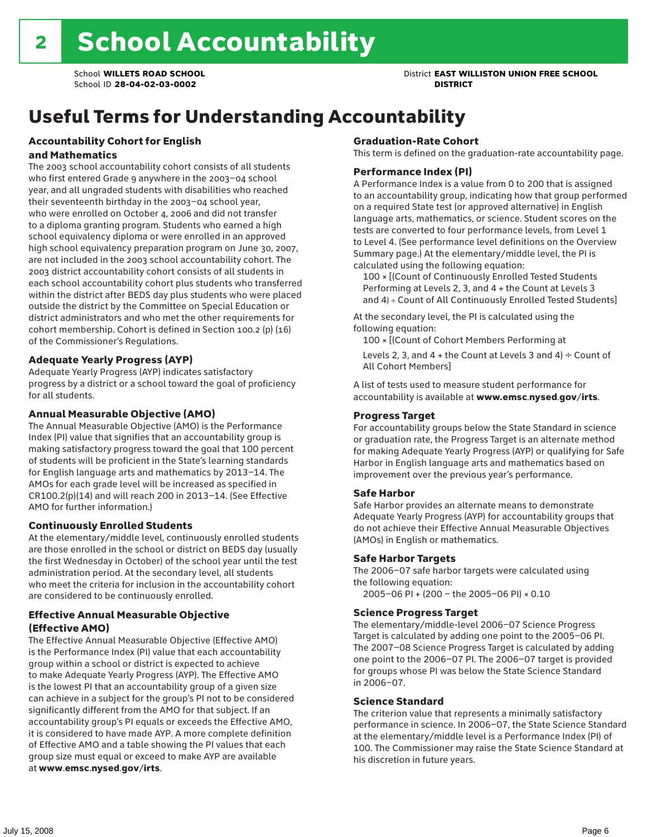# Useful Terms for Understanding Accountability

#### Accountability Cohort for English and Mathematics

The 2003 school accountability cohort consists of all students who first entered Grade 9 anywhere in the 2003–04 school year, and all ungraded students with disabilities who reached their seventeenth birthday in the 2003–04 school year, who were enrolled on October 4, 2006 and did not transfer to a diploma granting program. Students who earned a high school equivalency diploma or were enrolled in an approved high school equivalency preparation program on June 30, 2007, are not included in the 2003 school accountability cohort. The 2003 district accountability cohort consists of all students in each school accountability cohort plus students who transferred within the district after BEDS day plus students who were placed outside the district by the Committee on Special Education or district administrators and who met the other requirements for cohort membership. Cohort is defined in Section 100.2 (p) (16) of the Commissioner's Regulations.

#### Adequate Yearly Progress (AYP)

Adequate Yearly Progress (AYP) indicates satisfactory progress by a district or a school toward the goal of proficiency for all students.

#### Annual Measurable Objective (AMO)

The Annual Measurable Objective (AMO) is the Performance Index (PI) value that signifies that an accountability group is making satisfactory progress toward the goal that 100 percent of students will be proficient in the State's learning standards for English language arts and mathematics by 2013–14. The AMOs for each grade level will be increased as specified in CR100.2(p)(14) and will reach 200 in 2013–14. (See Effective AMO for further information.)

#### Continuously Enrolled Students

At the elementary/middle level, continuously enrolled students are those enrolled in the school or district on BEDS day (usually the first Wednesday in October) of the school year until the test administration period. At the secondary level, all students who meet the criteria for inclusion in the accountability cohort are considered to be continuously enrolled.

#### Effective Annual Measurable Objective (Effective AMO)

The Effective Annual Measurable Objective (Effective AMO) is the Performance Index (PI) value that each accountability group within a school or district is expected to achieve to make Adequate Yearly Progress (AYP). The Effective AMO is the lowest PI that an accountability group of a given size can achieve in a subject for the group's PI not to be considered significantly different from the AMO for that subject. If an accountability group's PI equals or exceeds the Effective AMO, it is considered to have made AYP. A more complete definition of Effective AMO and a table showing the PI values that each group size must equal or exceed to make AYP are available at www.emsc.nysed.gov/irts.

#### Graduation-Rate Cohort

This term is defined on the graduation-rate accountability page.

#### Performance Index (PI)

A Performance Index is a value from 0 to 200 that is assigned to an accountability group, indicating how that group performed on a required State test (or approved alternative) in English language arts, mathematics, or science. Student scores on the tests are converted to four performance levels, from Level 1 to Level 4. (See performance level definitions on the Overview Summary page.) At the elementary/middle level, the PI is calculated using the following equation:

100 × [(Count of Continuously Enrolled Tested Students Performing at Levels 2, 3, and 4 + the Count at Levels 3 and 4) ÷ Count of All Continuously Enrolled Tested Students]

At the secondary level, the PI is calculated using the following equation:

100 × [(Count of Cohort Members Performing at

Levels 2, 3, and 4 + the Count at Levels 3 and 4)  $\div$  Count of All Cohort Members]

A list of tests used to measure student performance for accountability is available at www.emsc.nysed.gov/irts.

#### Progress Target

For accountability groups below the State Standard in science or graduation rate, the Progress Target is an alternate method for making Adequate Yearly Progress (AYP) or qualifying for Safe Harbor in English language arts and mathematics based on improvement over the previous year's performance.

#### Safe Harbor

Safe Harbor provides an alternate means to demonstrate Adequate Yearly Progress (AYP) for accountability groups that do not achieve their Effective Annual Measurable Objectives (AMOs) in English or mathematics.

#### Safe Harbor Targets

The 2006–07 safe harbor targets were calculated using the following equation:

2005–06 PI + (200 – the 2005–06 PI) × 0.10

#### Science Progress Target

The elementary/middle-level 2006–07 Science Progress Target is calculated by adding one point to the 2005–06 PI. The 2007–08 Science Progress Target is calculated by adding one point to the 2006–07 PI. The 2006–07 target is provided for groups whose PI was below the State Science Standard in 2006–07.

#### Science Standard

The criterion value that represents a minimally satisfactory performance in science. In 2006–07, the State Science Standard at the elementary/middle level is a Performance Index (PI) of 100. The Commissioner may raise the State Science Standard at his discretion in future years.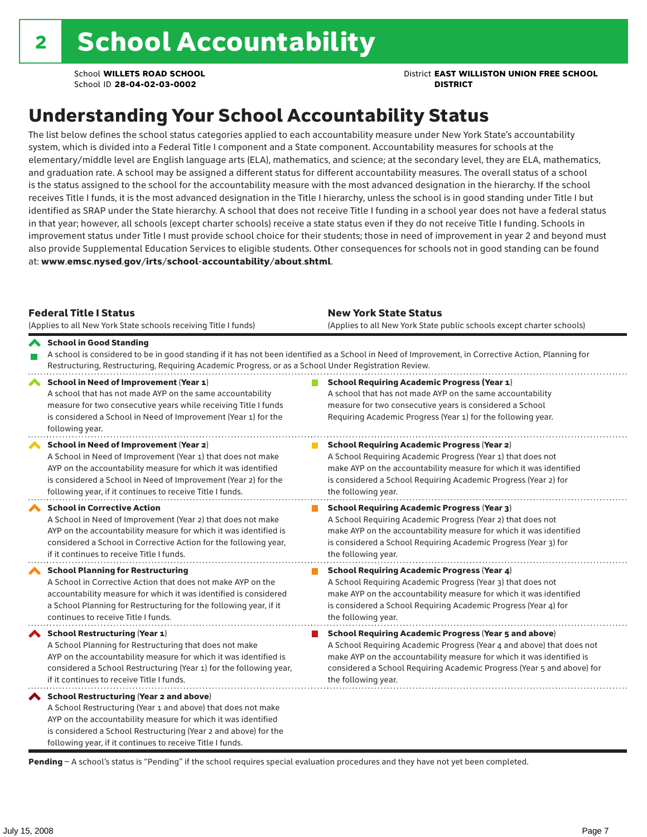School **WILLETS ROAD SCHOOL** District **EAST WILLISTON UNION FREE SCHOOL**

### Understanding Your School Accountability Status

The list below defines the school status categories applied to each accountability measure under New York State's accountability system, which is divided into a Federal Title I component and a State component. Accountability measures for schools at the elementary/middle level are English language arts (ELA), mathematics, and science; at the secondary level, they are ELA, mathematics, and graduation rate. A school may be assigned a different status for different accountability measures. The overall status of a school is the status assigned to the school for the accountability measure with the most advanced designation in the hierarchy. If the school receives Title I funds, it is the most advanced designation in the Title I hierarchy, unless the school is in good standing under Title I but identified as SRAP under the State hierarchy. A school that does not receive Title I funding in a school year does not have a federal status in that year; however, all schools (except charter schools) receive a state status even if they do not receive Title I funding. Schools in improvement status under Title I must provide school choice for their students; those in need of improvement in year 2 and beyond must also provide Supplemental Education Services to eligible students. Other consequences for schools not in good standing can be found at: www.emsc.nysed.gov/irts/school-accountability/about.shtml.

| <b>Federal Title I Status</b><br>(Applies to all New York State schools receiving Title I funds)                                                                                                                                                                                                             | <b>New York State Status</b><br>(Applies to all New York State public schools except charter schools) |                                                                                                                                                                                                                                                                                                                 |  |  |  |
|--------------------------------------------------------------------------------------------------------------------------------------------------------------------------------------------------------------------------------------------------------------------------------------------------------------|-------------------------------------------------------------------------------------------------------|-----------------------------------------------------------------------------------------------------------------------------------------------------------------------------------------------------------------------------------------------------------------------------------------------------------------|--|--|--|
| School in Good Standing<br>Restructuring, Restructuring, Requiring Academic Progress, or as a School Under Registration Review.                                                                                                                                                                              |                                                                                                       | A school is considered to be in good standing if it has not been identified as a School in Need of Improvement, in Corrective Action, Planning for                                                                                                                                                              |  |  |  |
| School in Need of Improvement (Year 1)<br>A school that has not made AYP on the same accountability<br>measure for two consecutive years while receiving Title I funds<br>is considered a School in Need of Improvement (Year 1) for the<br>following year.                                                  |                                                                                                       | <b>School Requiring Academic Progress (Year 1)</b><br>A school that has not made AYP on the same accountability<br>measure for two consecutive years is considered a School<br>Requiring Academic Progress (Year 1) for the following year.                                                                     |  |  |  |
| <b>School in Need of Improvement (Year 2)</b><br>A School in Need of Improvement (Year 1) that does not make<br>AYP on the accountability measure for which it was identified<br>is considered a School in Need of Improvement (Year 2) for the<br>following year, if it continues to receive Title I funds. |                                                                                                       | <b>School Requiring Academic Progress (Year 2)</b><br>A School Requiring Academic Progress (Year 1) that does not<br>make AYP on the accountability measure for which it was identified<br>is considered a School Requiring Academic Progress (Year 2) for<br>the following year.                               |  |  |  |
| <b>School in Corrective Action</b><br>A School in Need of Improvement (Year 2) that does not make<br>AYP on the accountability measure for which it was identified is<br>considered a School in Corrective Action for the following year,<br>if it continues to receive Title I funds.                       |                                                                                                       | <b>School Requiring Academic Progress (Year 3)</b><br>A School Requiring Academic Progress (Year 2) that does not<br>make AYP on the accountability measure for which it was identified<br>is considered a School Requiring Academic Progress (Year 3) for<br>the following year.                               |  |  |  |
| <b>School Planning for Restructuring</b><br>A School in Corrective Action that does not make AYP on the<br>accountability measure for which it was identified is considered<br>a School Planning for Restructuring for the following year, if it<br>continues to receive Title I funds.                      |                                                                                                       | <b>School Requiring Academic Progress (Year 4)</b><br>A School Requiring Academic Progress (Year 3) that does not<br>make AYP on the accountability measure for which it was identified<br>is considered a School Requiring Academic Progress (Year 4) for<br>the following year.                               |  |  |  |
| <b>School Restructuring (Year 1)</b><br>A School Planning for Restructuring that does not make<br>AYP on the accountability measure for which it was identified is<br>considered a School Restructuring (Year 1) for the following year,<br>if it continues to receive Title I funds.                        |                                                                                                       | <b>School Requiring Academic Progress (Year 5 and above)</b><br>A School Requiring Academic Progress (Year 4 and above) that does not<br>make AYP on the accountability measure for which it was identified is<br>considered a School Requiring Academic Progress (Year 5 and above) for<br>the following year. |  |  |  |
| School Restructuring (Year 2 and above)<br>A School Restructuring (Year 1 and above) that does not make<br>AYP on the accountability measure for which it was identified<br>is considered a School Restructuring (Year 2 and above) for the<br>following year, if it continues to receive Title I funds.     |                                                                                                       |                                                                                                                                                                                                                                                                                                                 |  |  |  |

Pending - A school's status is "Pending" if the school requires special evaluation procedures and they have not yet been completed.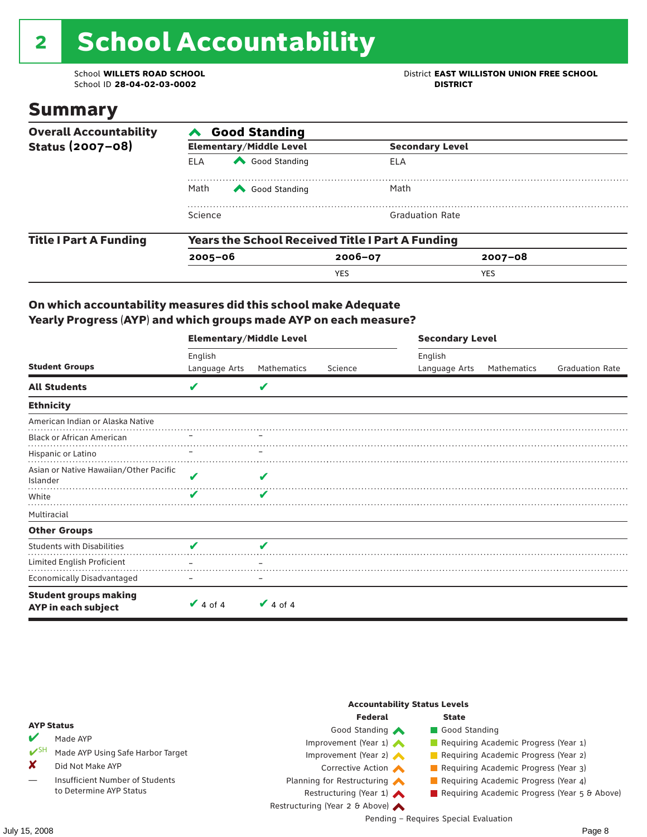# 2 School Accountability

School ID 28-04-02-03-0002

School **WILLETS ROAD SCHOOL**<br>School ID 28-04-02-03-0002<br>**DISTRICT** DISTRICT

### Summary

| <b>Overall Accountability</b> | <b>Good Standing</b>                                    |                                |             |                        |  |  |  |
|-------------------------------|---------------------------------------------------------|--------------------------------|-------------|------------------------|--|--|--|
| Status (2007-08)              |                                                         | <b>Elementary/Middle Level</b> |             | <b>Secondary Level</b> |  |  |  |
|                               | <b>ELA</b>                                              | Good Standing                  | ELA         |                        |  |  |  |
|                               | Math                                                    | Good Standing                  | Math        |                        |  |  |  |
|                               | Science                                                 |                                |             | <b>Graduation Rate</b> |  |  |  |
| <b>Title I Part A Funding</b> | <b>Years the School Received Title I Part A Funding</b> |                                |             |                        |  |  |  |
|                               | $2005 - 06$                                             |                                | $2006 - 07$ | $2007 - 08$            |  |  |  |
|                               |                                                         |                                | <b>YES</b>  | <b>YES</b>             |  |  |  |

#### On which accountability measures did this school make Adequate Yearly Progress (AYP) and which groups made AYP on each measure?

|                                                     | <b>Elementary/Middle Level</b> |               |         |               | <b>Secondary Level</b> |                        |  |  |
|-----------------------------------------------------|--------------------------------|---------------|---------|---------------|------------------------|------------------------|--|--|
|                                                     | English                        |               |         | English       |                        |                        |  |  |
| <b>Student Groups</b>                               | Language Arts                  | Mathematics   | Science | Language Arts | Mathematics            | <b>Graduation Rate</b> |  |  |
| <b>All Students</b>                                 | V                              | V             |         |               |                        |                        |  |  |
| <b>Ethnicity</b>                                    |                                |               |         |               |                        |                        |  |  |
| American Indian or Alaska Native                    |                                |               |         |               |                        |                        |  |  |
| <b>Black or African American</b>                    |                                |               |         |               |                        |                        |  |  |
| Hispanic or Latino                                  |                                |               |         |               |                        |                        |  |  |
| Asian or Native Hawaiian/Other Pacific<br>Islander  | V                              | V             |         |               |                        |                        |  |  |
| White                                               | v                              | V             |         |               |                        |                        |  |  |
| Multiracial                                         |                                |               |         |               |                        |                        |  |  |
| <b>Other Groups</b>                                 |                                |               |         |               |                        |                        |  |  |
| <b>Students with Disabilities</b>                   | V                              | V             |         |               |                        |                        |  |  |
| Limited English Proficient                          |                                |               |         |               |                        |                        |  |  |
| <b>Economically Disadvantaged</b>                   |                                |               |         |               |                        |                        |  |  |
| <b>Student groups making</b><br>AYP in each subject | $\vee$ 4 of 4                  | $\vee$ 4 of 4 |         |               |                        |                        |  |  |

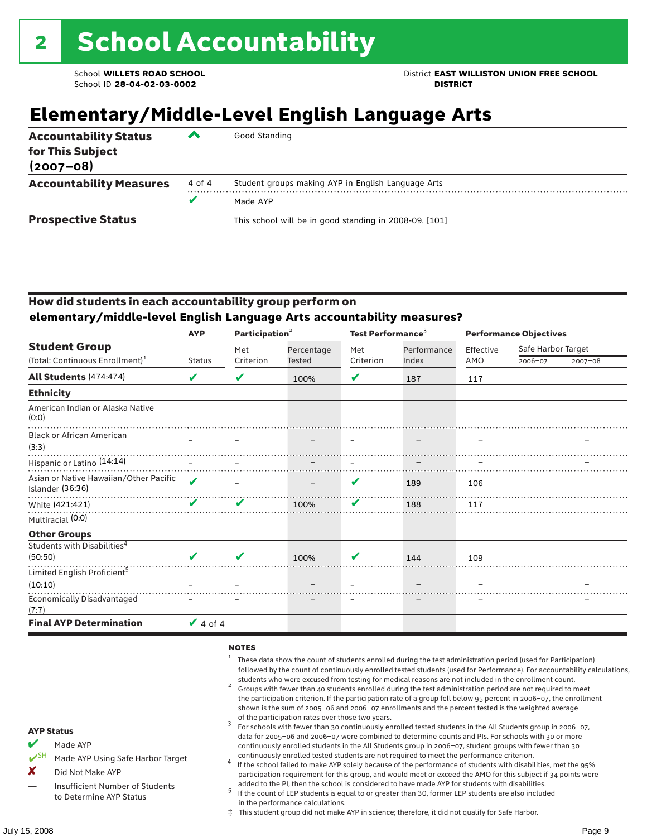### **Elementary/Middle-Level English Language Arts**

| <b>Accountability Status</b><br>for This Subject<br>$(2007 - 08)$ | $\overline{\phantom{a}}$ | Good Standing                                          |
|-------------------------------------------------------------------|--------------------------|--------------------------------------------------------|
| <b>Accountability Measures</b>                                    | 4 of 4                   | Student groups making AYP in English Language Arts     |
|                                                                   | v                        | Made AYP                                               |
| <b>Prospective Status</b>                                         |                          | This school will be in good standing in 2008-09. [101] |

### How did students in each accountability group perform on **elementary/middle-level English Language Arts accountability measures?**

|                                                            | Participation <sup>2</sup><br><b>AYP</b> |           |            | Test Performance <sup>3</sup> |             | <b>Performance Objectives</b> |                    |             |
|------------------------------------------------------------|------------------------------------------|-----------|------------|-------------------------------|-------------|-------------------------------|--------------------|-------------|
| <b>Student Group</b>                                       |                                          | Met       | Percentage | Met                           | Performance | Effective                     | Safe Harbor Target |             |
| (Total: Continuous Enrollment) <sup>1</sup>                | <b>Status</b>                            | Criterion | Tested     | Criterion                     | Index       | AMO                           | 2006-07            | $2007 - 08$ |
| All Students (474:474)                                     | V                                        | V         | 100%       | V                             | 187         | 117                           |                    |             |
| <b>Ethnicity</b>                                           |                                          |           |            |                               |             |                               |                    |             |
| American Indian or Alaska Native<br>(0:0)                  |                                          |           |            |                               |             |                               |                    |             |
| <b>Black or African American</b><br>(3:3)                  |                                          |           |            |                               |             |                               |                    |             |
| Hispanic or Latino (14:14)                                 |                                          |           |            |                               |             |                               |                    |             |
| Asian or Native Hawaiian/Other Pacific<br>Islander (36:36) | $\boldsymbol{\mathcal{U}}$               |           |            | V                             | 189         | 106                           |                    |             |
| White (421:421)                                            | ✔                                        | ✔         | 100%       | V                             | 188         | 117                           |                    |             |
| Multiracial (0:0)                                          |                                          |           |            |                               |             |                               |                    |             |
| <b>Other Groups</b>                                        |                                          |           |            |                               |             |                               |                    |             |
| Students with Disabilities <sup>4</sup><br>(50:50)         | ✔                                        | v         | 100%       | v                             | 144         | 109                           |                    |             |
| Limited English Proficient <sup>5</sup>                    |                                          |           |            |                               |             |                               |                    |             |
| (10:10)                                                    |                                          |           |            |                               |             |                               |                    |             |
| <b>Economically Disadvantaged</b><br>(7:7)                 |                                          |           |            |                               |             |                               |                    |             |
| <b>Final AYP Determination</b>                             | $\vee$ 4 of 4                            |           |            |                               |             |                               |                    |             |

#### **NOTES**

- $1$  These data show the count of students enrolled during the test administration period (used for Participation) followed by the count of continuously enrolled tested students (used for Performance). For accountability calculations,
- students who were excused from testing for medical reasons are not included in the enrollment count. <sup>2</sup> Groups with fewer than 40 students enrolled during the test administration period are not required to meet the participation criterion. If the participation rate of a group fell below 95 percent in 2006–07, the enrollment shown is the sum of 2005–06 and 2006–07 enrollments and the percent tested is the weighted average
- of the participation rates over those two years.<br><sup>3</sup> For schools with fewer than 30 continuously enrolled tested students in the All Students group in 2006–07, data for 2005–06 and 2006–07 were combined to determine counts and PIs. For schools with 30 or more continuously enrolled students in the All Students group in 2006–07, student groups with fewer than 30
- continuously enrolled tested students are not required to meet the performance criterion. <sup>4</sup> If the school failed to make AYP solely because of the performance of students with disabilities, met the 95% participation requirement for this group, and would meet or exceed the AMO for this subject if 34 points were added to the PI, then the school is considered to have made AYP for students with disabilities.
- $5$  If the count of LEP students is equal to or greater than 30, former LEP students are also included in the performance calculations.
- ‡ This student group did not make AYP in science; therefore, it did not qualify for Safe Harbor.

AYP Status

- Made AYP Using Safe Harbor Target X Did Not Make AYP
- Insufficient Number of Students to Determine AYP Status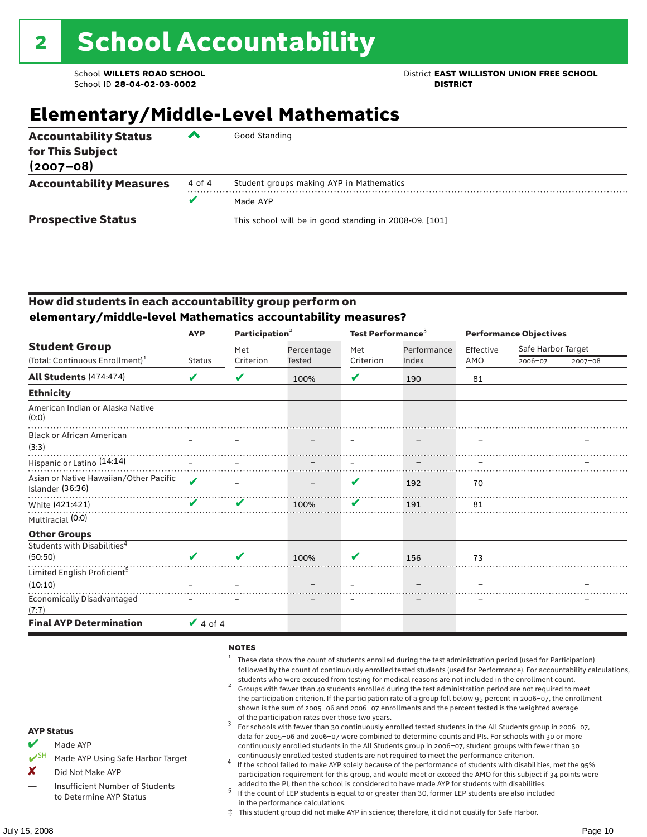School **WILLETS ROAD SCHOOL** District **EAST WILLISTON UNION FREE SCHOOL**

### **Elementary/Middle-Level Mathematics**

| <b>Accountability Status</b><br>for This Subject<br>$(2007 - 08)$ | $\overline{\phantom{a}}$ | Good Standing                                          |
|-------------------------------------------------------------------|--------------------------|--------------------------------------------------------|
| <b>Accountability Measures</b>                                    | 4 of 4                   | Student groups making AYP in Mathematics               |
|                                                                   |                          | Made AYP                                               |
| <b>Prospective Status</b>                                         |                          | This school will be in good standing in 2008-09. [101] |

### How did students in each accountability group perform on **elementary/middle-level Mathematics accountability measures?**

|                                                            | <b>AYP</b>    | Participation <sup>2</sup> |               | Test Performance <sup>3</sup> |             | <b>Performance Objectives</b> |                    |             |
|------------------------------------------------------------|---------------|----------------------------|---------------|-------------------------------|-------------|-------------------------------|--------------------|-------------|
| <b>Student Group</b>                                       |               | Met                        | Percentage    | Met                           | Performance | Effective                     | Safe Harbor Target |             |
| (Total: Continuous Enrollment) <sup>1</sup>                | <b>Status</b> | Criterion                  | <b>Tested</b> | Criterion                     | Index       | AMO                           | 2006-07            | $2007 - 08$ |
| <b>All Students (474:474)</b>                              | V             | V                          | 100%          | V                             | 190         | 81                            |                    |             |
| <b>Ethnicity</b>                                           |               |                            |               |                               |             |                               |                    |             |
| American Indian or Alaska Native<br>(0:0)                  |               |                            |               |                               |             |                               |                    |             |
| <b>Black or African American</b><br>(3:3)                  |               |                            |               |                               |             |                               |                    |             |
| Hispanic or Latino <sup>(14:14)</sup>                      |               |                            |               |                               |             |                               |                    |             |
| Asian or Native Hawaiian/Other Pacific<br>Islander (36:36) | ✔             |                            |               | V                             | 192         | 70                            |                    |             |
| White (421:421)                                            |               | ✔                          | 100%          | ✔                             | 191         | 81                            |                    |             |
| Multiracial (0:0)                                          |               |                            |               |                               |             |                               |                    |             |
| <b>Other Groups</b>                                        |               |                            |               |                               |             |                               |                    |             |
| Students with Disabilities <sup>4</sup>                    |               |                            |               |                               |             |                               |                    |             |
| (50:50)                                                    | V             | ✔                          | 100%          | v                             | 156         | 73                            |                    |             |
| Limited English Proficient <sup>5</sup>                    |               |                            |               |                               |             |                               |                    |             |
| (10:10)                                                    |               |                            |               |                               |             |                               |                    |             |
| <b>Economically Disadvantaged</b><br>(7:7)                 |               |                            |               |                               |             |                               |                    |             |
| <b>Final AYP Determination</b>                             | $\vee$ 4 of 4 |                            |               |                               |             |                               |                    |             |

#### **NOTES**

- $1$  These data show the count of students enrolled during the test administration period (used for Participation) followed by the count of continuously enrolled tested students (used for Performance). For accountability calculations,
- students who were excused from testing for medical reasons are not included in the enrollment count.<br><sup>2</sup> Groups with fewer than 40 students enrolled during the test administration period are not required to meet the participation criterion. If the participation rate of a group fell below 95 percent in 2006–07, the enrollment shown is the sum of 2005–06 and 2006–07 enrollments and the percent tested is the weighted average
- of the participation rates over those two years.<br><sup>3</sup> For schools with fewer than 30 continuously enrolled tested students in the All Students group in 2006–07, data for 2005–06 and 2006–07 were combined to determine counts and PIs. For schools with 30 or more continuously enrolled students in the All Students group in 2006–07, student groups with fewer than 30
- continuously enrolled tested students are not required to meet the performance criterion. <sup>4</sup> If the school failed to make AYP solely because of the performance of students with disabilities, met the 95% participation requirement for this group, and would meet or exceed the AMO for this subject if 34 points were added to the PI, then the school is considered to have made AYP for students with disabilities.
- $5$  If the count of LEP students is equal to or greater than 30, former LEP students are also included in the performance calculations.
- ‡ This student group did not make AYP in science; therefore, it did not qualify for Safe Harbor.
- Made AYP
	- Made AYP Using Safe Harbor Target
- X Did Not Make AYP
- Insufficient Number of Students to Determine AYP Status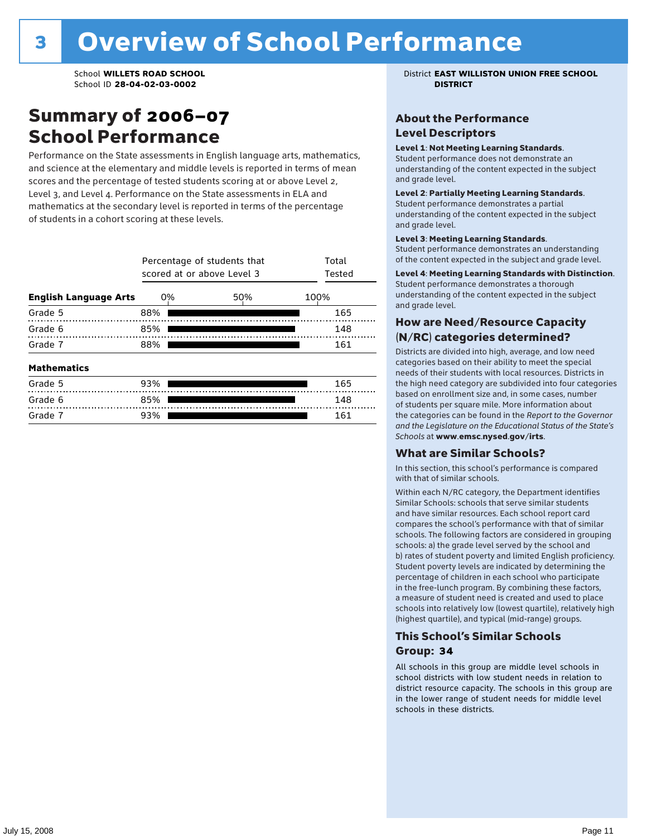### Summary of 2006–07 School Performance

Performance on the State assessments in English language arts, mathematics, and science at the elementary and middle levels is reported in terms of mean scores and the percentage of tested students scoring at or above Level 2, Level 3, and Level 4. Performance on the State assessments in ELA and mathematics at the secondary level is reported in terms of the percentage of students in a cohort scoring at these levels.

|                              | Percentage of students that<br>scored at or above Level 3 | Total<br>Tested |      |  |  |  |  |
|------------------------------|-----------------------------------------------------------|-----------------|------|--|--|--|--|
| <b>English Language Arts</b> | 0%                                                        | 50%             | 100% |  |  |  |  |
| Grade 5                      | 88%                                                       |                 | 165  |  |  |  |  |
| Grade 6                      | 85%                                                       |                 | 148  |  |  |  |  |
| Grade 7                      | 88%                                                       |                 |      |  |  |  |  |
| <b>Mathematics</b>           |                                                           |                 |      |  |  |  |  |
| Grade 5                      | 93%                                                       |                 | 165  |  |  |  |  |
| Grade 6                      | 85%                                                       |                 | 148  |  |  |  |  |
| Grade 7                      | 93%                                                       | 161             |      |  |  |  |  |

School **WILLETS ROAD SCHOOL** District **EAST WILLISTON UNION FREE SCHOOL**

### About the Performance Level Descriptors

#### Level 1: Not Meeting Learning Standards.

Student performance does not demonstrate an understanding of the content expected in the subject and grade level.

#### Level 2: Partially Meeting Learning Standards.

Student performance demonstrates a partial understanding of the content expected in the subject and grade level.

#### Level 3: Meeting Learning Standards.

Student performance demonstrates an understanding of the content expected in the subject and grade level.

#### Level 4: Meeting Learning Standards with Distinction.

Student performance demonstrates a thorough understanding of the content expected in the subject and grade level.

#### How are Need/Resource Capacity (N/RC) categories determined?

Districts are divided into high, average, and low need categories based on their ability to meet the special needs of their students with local resources. Districts in the high need category are subdivided into four categories based on enrollment size and, in some cases, number of students per square mile. More information about the categories can be found in the *Report to the Governor and the Legislature on the Educational Status of the State's Schools* at www.emsc.nysed.gov/irts.

#### What are Similar Schools?

In this section, this school's performance is compared with that of similar schools.

Within each N/RC category, the Department identifies Similar Schools: schools that serve similar students and have similar resources. Each school report card compares the school's performance with that of similar schools. The following factors are considered in grouping schools: a) the grade level served by the school and b) rates of student poverty and limited English proficiency. Student poverty levels are indicated by determining the percentage of children in each school who participate in the free-lunch program. By combining these factors, a measure of student need is created and used to place schools into relatively low (lowest quartile), relatively high (highest quartile), and typical (mid-range) groups.

#### This School's Similar Schools Group: **34**

All schools in this group are middle level schools in school districts with low student needs in relation to district resource capacity. The schools in this group are in the lower range of student needs for middle level schools in these districts.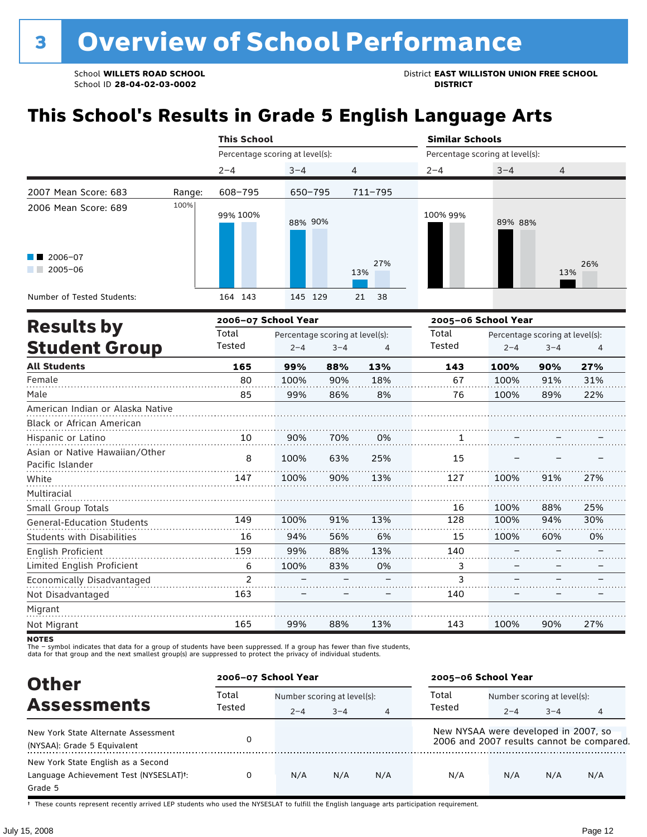School ID 28-04-02-03-0002

School **WILLETS ROAD SCHOOL**<br>School ID 28-04-02-03-0002<br>**DISTRICT** DISTRICT

## **This School's Results in Grade 5 English Language Arts**

|                                  |        | <b>This School</b>              |                                 |         |            | <b>Similar Schools</b>          |                     |                                 |     |  |
|----------------------------------|--------|---------------------------------|---------------------------------|---------|------------|---------------------------------|---------------------|---------------------------------|-----|--|
|                                  |        | Percentage scoring at level(s): |                                 |         |            | Percentage scoring at level(s): |                     |                                 |     |  |
|                                  |        | $2 - 4$                         | $3 - 4$                         | 4       |            | $2 - 4$                         | $3 - 4$             | 4                               |     |  |
| 2007 Mean Score: 683             | Range: | 608-795                         | 650-795                         |         | 711-795    |                                 |                     |                                 |     |  |
| 2006 Mean Score: 689             | 100%   | 99% 100%                        | 88% 90%                         |         |            | 100% 99%                        | 89% 88%             |                                 |     |  |
| $2006 - 07$                      |        |                                 |                                 |         |            |                                 |                     |                                 |     |  |
| $2005 - 06$                      |        |                                 |                                 |         | 27%<br>13% |                                 |                     | 13%                             | 26% |  |
|                                  |        |                                 |                                 |         |            |                                 |                     |                                 |     |  |
| Number of Tested Students:       |        | 164 143                         | 145 129                         |         | 21<br>38   |                                 |                     |                                 |     |  |
|                                  |        | 2006-07 School Year             |                                 |         |            |                                 | 2005-06 School Year |                                 |     |  |
| <b>Results by</b>                |        | Total                           | Percentage scoring at level(s): |         |            | Total                           |                     | Percentage scoring at level(s): |     |  |
| <b>Student Group</b>             |        | Tested                          | $2 - 4$                         | $3 - 4$ | 4          | Tested                          | $2 - 4$             | $3 - 4$                         | 4   |  |
| <b>All Students</b>              |        | 165                             | 99%                             | 88%     | 13%        | 143                             | 100%                | 90%                             | 27% |  |
| Female                           |        | 80                              | 100%                            | 90%     | 18%        | 67                              | 100%                | 91%                             | 31% |  |
| Male                             |        | 85                              | 99%                             | 86%     | 8%         | 76                              | 100%                | 89%                             | 22% |  |
| American Indian or Alaska Native |        |                                 |                                 |         |            |                                 |                     |                                 |     |  |
| <b>Black or African American</b> |        |                                 |                                 |         |            |                                 |                     |                                 |     |  |

| <b>DIACK OF AILICAL AILICITCAL</b>                 |     |      |     |     |     |      |     |     |
|----------------------------------------------------|-----|------|-----|-----|-----|------|-----|-----|
| Hispanic or Latino                                 | 10  | 90%  | 70% | 0%  |     |      |     |     |
| Asian or Native Hawaiian/Other<br>Pacific Islander | 8   | 100% | 63% | 25% | 15  |      |     |     |
| White                                              | 147 | 100% | 90% | 13% | 127 | 100% | 91% | 27% |
| Multiracial                                        |     |      |     |     |     |      |     |     |
| Small Group Totals                                 |     |      |     |     | 16  | 100% | 88% | 25% |
| <b>General-Education Students</b>                  | 149 | 100% | 91% | 13% | 128 | 100% | 94% | 30% |
| <b>Students with Disabilities</b>                  | 16  | 94%  | 56% | 6%  | 15  | 100% | 60% | 0%  |
| English Proficient                                 | 159 | 99%  | 88% | 13% | 140 |      |     |     |
| Limited English Proficient                         | 6   | 100% | 83% | 0%  | 3   |      |     |     |
| Economically Disadvantaged                         | っ   |      |     |     | ς   |      |     |     |
| Not Disadvantaged                                  | 163 |      |     |     | 140 |      |     |     |
| Migrant                                            |     |      |     |     |     |      |     |     |
| Not Migrant                                        | 165 | 99%  | 88% | 13% | 143 | 100% | 90% | 27% |

**NOTES** 

The – symbol indicates that data for a group of students have been suppressed. If a group has fewer than five students,<br>data for that group and the next smallest group(s) are suppressed to protect the privacy of individual

| <b>Other</b>                                                                                         | 2006-07 School Year |                             |         |     | 2005-06 School Year                  |                             |         |                                           |
|------------------------------------------------------------------------------------------------------|---------------------|-----------------------------|---------|-----|--------------------------------------|-----------------------------|---------|-------------------------------------------|
|                                                                                                      | Total               | Number scoring at level(s): |         |     | Total                                | Number scoring at level(s): |         |                                           |
| <b>Assessments</b>                                                                                   | Tested              | $2 - 4$                     | $3 - 4$ | 4   | Tested                               | $2 - 4$                     | $3 - 4$ |                                           |
| New York State Alternate Assessment<br>(NYSAA): Grade 5 Equivalent                                   |                     |                             |         |     | New NYSAA were developed in 2007, so |                             |         | 2006 and 2007 results cannot be compared. |
| New York State English as a Second<br>Language Achievement Test (NYSESLAT) <sup>+</sup> :<br>Grade 5 |                     | N/A                         | N/A     | N/A | N/A                                  | N/A                         | N/A     | N/A                                       |

† These counts represent recently arrived LEP students who used the NYSESLAT to fulfill the English language arts participation requirement.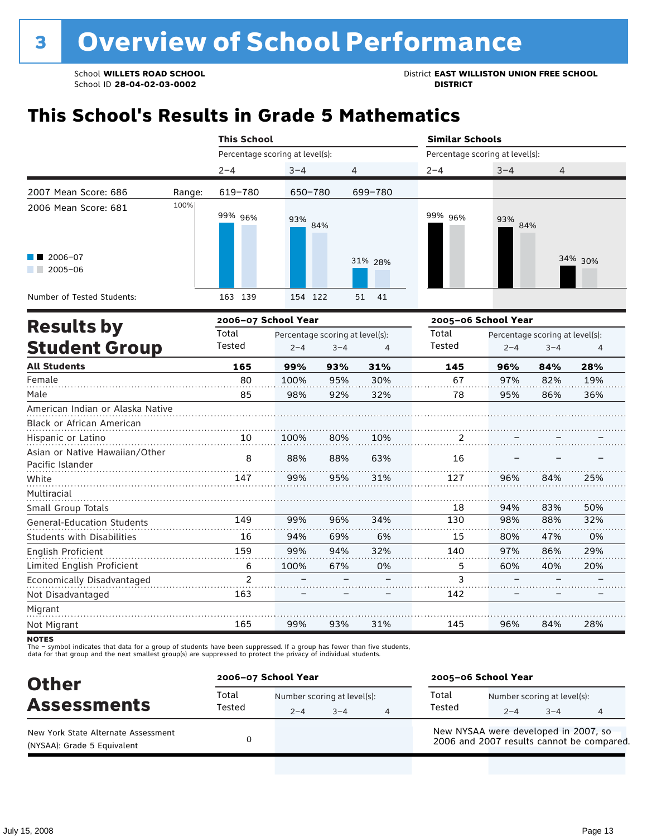School **WILLETS ROAD SCHOOL**<br>School ID 28-04-02-03-0002<br>**DISTRICT** DISTRICT

## **This School's Results in Grade 5 Mathematics**

|                                   |        | <b>This School</b>              |                                 |                          |                   | <b>Similar Schools</b>          |                          |                                 |         |  |  |
|-----------------------------------|--------|---------------------------------|---------------------------------|--------------------------|-------------------|---------------------------------|--------------------------|---------------------------------|---------|--|--|
|                                   |        | Percentage scoring at level(s): |                                 |                          |                   | Percentage scoring at level(s): |                          |                                 |         |  |  |
|                                   |        | $2 - 4$                         | $3 - 4$                         | 4                        |                   | $2 - 4$                         | $3 - 4$                  | 4                               |         |  |  |
| 2007 Mean Score: 686              | Range: | 619-780                         | 650-780                         |                          | 699-780           |                                 |                          |                                 |         |  |  |
| 2006 Mean Score: 681              | 100%   | 99% 96%                         | 93%                             | 84%                      |                   | 99% 96%                         | 93%<br>84%               |                                 |         |  |  |
| 2006-07<br>$2005 - 06$            |        |                                 |                                 |                          | 31% 28%           |                                 |                          |                                 | 34% 30% |  |  |
| Number of Tested Students:        |        | 163 139                         | 154 122                         |                          | 41<br>51          |                                 |                          |                                 |         |  |  |
| <b>Results by</b>                 |        | 2006-07 School Year             |                                 |                          |                   |                                 | 2005-06 School Year      |                                 |         |  |  |
|                                   |        | Total                           | Percentage scoring at level(s): |                          |                   | Total                           |                          | Percentage scoring at level(s): |         |  |  |
| <b>Student Group</b>              |        | Tested                          | $2 - 4$                         | $3 - 4$                  | 4                 | <b>Tested</b>                   | $2 - 4$                  | $3 - 4$                         | 4       |  |  |
| <b>All Students</b>               |        | 165                             | 99%                             | 93%                      | 31%               | 145                             | 96%                      | 84%                             | 28%     |  |  |
| Female                            |        | 80                              | 100%                            | 95%                      | 30%               | 67                              | 97%                      | 82%                             | 19%     |  |  |
| Male                              |        | 85                              | 98%                             | 92%                      | 32%               | 78                              | 95%                      | 86%                             | 36%     |  |  |
| American Indian or Alaska Native  |        |                                 |                                 |                          |                   |                                 |                          |                                 |         |  |  |
| Black or African American         |        |                                 |                                 |                          |                   |                                 |                          |                                 |         |  |  |
| Hispanic or Latino                |        | 10                              | 100%                            | 80%                      | 10%               | 2                               |                          |                                 |         |  |  |
| Asian or Native Hawaiian/Other    |        | 8                               | 88%                             | 88%                      | 63%               | 16                              |                          |                                 |         |  |  |
| Pacific Islander                  |        |                                 |                                 |                          |                   |                                 |                          |                                 |         |  |  |
| White                             |        | 147                             | 99%                             | 95%                      | 31%               | 127                             | 96%                      | 84%                             | 25%     |  |  |
| Multiracial                       |        |                                 |                                 |                          |                   |                                 |                          |                                 |         |  |  |
| Small Group Totals                |        |                                 |                                 |                          |                   | 18                              | 94%                      | 83%                             | 50%     |  |  |
| <b>General-Education Students</b> |        | 149                             | 99%                             | 96%                      | 34%               | 130                             | 98%                      | 88%                             | 32%     |  |  |
| <b>Students with Disabilities</b> |        | 16                              | 94%                             | 69%                      | 6%                | 15                              | 80%                      | 47%                             | 0%      |  |  |
| English Proficient                |        | 159                             | 99%                             | 94%                      | 32%               | 140                             | 97%                      | 86%                             | 29%     |  |  |
| Limited English Proficient        |        | 6                               | 100%                            | 67%                      | 0%                | 5                               | 60%                      | 40%                             | 20%     |  |  |
| Economically Disadvantaged        |        | 2                               |                                 | $\overline{\phantom{0}}$ | $\qquad \qquad -$ | 3                               | $\overline{\phantom{0}}$ | $\overline{\phantom{m}}$        |         |  |  |

Not Disadvantaged Migrant . . . . . . . . . . . . . . . . . . . . . 99% 84% Not Migrant 165 93% 31% 145 96% 28%

–

–

142

–

–

–

–

The – symbol indicates that data for a group of students have been suppressed. If a group has fewer than five students,<br>data for that group and the next smallest group(s) are suppressed to protect the privacy of individual

163

| <b>Other</b>                                                       | 2006-07 School Year |                                        |         | 2005-06 School Year                  |                                        |         |                                           |  |
|--------------------------------------------------------------------|---------------------|----------------------------------------|---------|--------------------------------------|----------------------------------------|---------|-------------------------------------------|--|
| <b>Assessments</b>                                                 | Total<br>Tested     | Number scoring at level(s):<br>$2 - 4$ | $3 - 4$ | Total<br>Tested                      | Number scoring at level(s):<br>$2 - 4$ | $3 - 4$ |                                           |  |
| New York State Alternate Assessment<br>(NYSAA): Grade 5 Equivalent |                     |                                        |         | New NYSAA were developed in 2007, so |                                        |         | 2006 and 2007 results cannot be compared. |  |

**NOTES**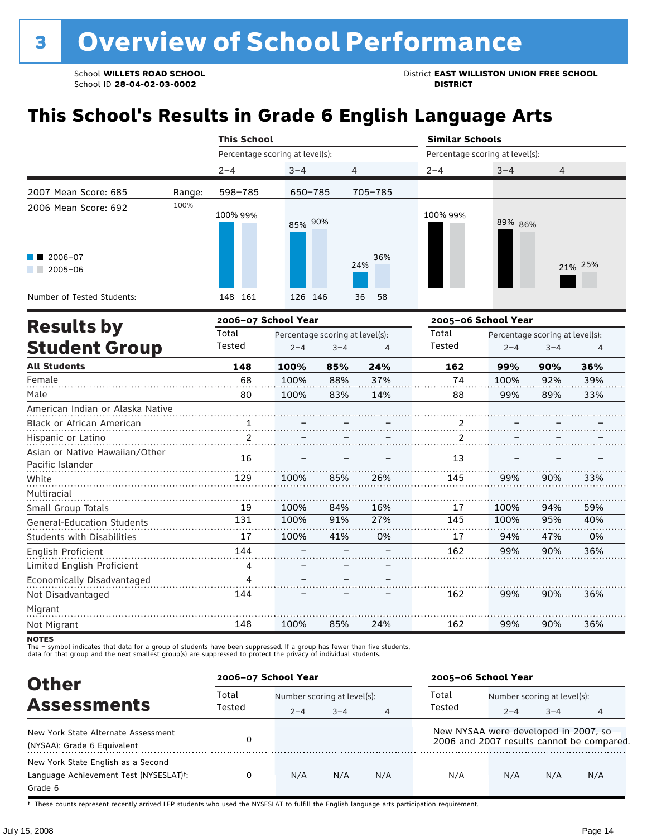School ID 28-04-02-03-0002

School **WILLETS ROAD SCHOOL**<br>School ID 28-04-02-03-0002<br>**DISTRICT** DISTRICT

# **This School's Results in Grade 6 English Language Arts**

|                                                    |        | <b>This School</b> |                                 |                |            | <b>Similar Schools</b>          |                     |                                 |         |  |  |
|----------------------------------------------------|--------|--------------------|---------------------------------|----------------|------------|---------------------------------|---------------------|---------------------------------|---------|--|--|
|                                                    |        |                    | Percentage scoring at level(s): |                |            | Percentage scoring at level(s): |                     |                                 |         |  |  |
|                                                    |        | $2 - 4$            | $3 - 4$                         | $\overline{4}$ |            | $2 - 4$                         | $3 - 4$             | 4                               |         |  |  |
| 2007 Mean Score: 685                               | Range: | 598-785            | 650-785                         |                | 705-785    |                                 |                     |                                 |         |  |  |
| 2006 Mean Score: 692                               | 100%   | 100% 99%           | 85% 90%                         |                |            | 100% 99%                        | 89% 86%             |                                 |         |  |  |
| $2006 - 07$<br>$2005 - 06$                         |        |                    |                                 |                | 36%<br>24% |                                 |                     |                                 | 21% 25% |  |  |
| Number of Tested Students:                         |        | 148 161            | 126 146                         |                | 36<br>58   |                                 |                     |                                 |         |  |  |
|                                                    |        |                    | 2006-07 School Year             |                |            |                                 | 2005-06 School Year |                                 |         |  |  |
| <b>Results by</b>                                  |        | Total              | Percentage scoring at level(s): |                |            | Total                           |                     | Percentage scoring at level(s): |         |  |  |
| <b>Student Group</b>                               |        | Tested             | $2 - 4$                         | $3 - 4$        | 4          | <b>Tested</b>                   | $2 - 4$             | $3 - 4$                         | 4       |  |  |
| <b>All Students</b>                                |        | 148                | 100%                            | 85%            | 24%        | 162                             | 99%                 | 90%                             | 36%     |  |  |
| Female                                             |        | 68                 | 100%                            | 88%            | 37%        | 74                              | 100%                | 92%                             | 39%     |  |  |
| Male                                               |        | 80                 | 100%                            | 83%            | 14%        | 88                              | 99%                 | 89%                             | 33%     |  |  |
| American Indian or Alaska Native                   |        |                    |                                 |                |            |                                 |                     |                                 |         |  |  |
| Black or African American                          |        |                    |                                 |                |            | 2                               |                     |                                 |         |  |  |
| Hispanic or Latino                                 |        | $\overline{2}$     |                                 |                |            | $\overline{2}$                  |                     |                                 |         |  |  |
| Asian or Native Hawaiian/Other<br>Pacific Islander |        | 16                 |                                 |                |            | 13                              |                     |                                 |         |  |  |
| White                                              |        | 129                | 100%                            | 85%            | 26%        | 145                             | 99%                 | 90%                             | 33%     |  |  |
| Multiracial                                        |        |                    |                                 |                |            |                                 |                     |                                 |         |  |  |
| Small Group Totals                                 |        | 19                 | 100%                            | 84%            | 16%        | 17                              | 100%                | 94%                             | 59%     |  |  |
| <b>General-Education Students</b>                  |        | 131                | 100%                            | 91%            | 27%        | 145                             | 100%                | 95%                             | 40%     |  |  |
| <b>Students with Disabilities</b>                  |        | 17                 | 100%                            | 41%            | 0%         | 17                              | 94%                 | 47%                             | 0%      |  |  |
| English Proficient                                 |        | 144                |                                 |                |            | 162                             | 99%                 | 90%                             | 36%     |  |  |
| Limited English Proficient                         |        | 4                  |                                 |                |            |                                 |                     |                                 |         |  |  |

144 162 99% 90% Not Disadvantaged – – – Migrant . . . . . . . . . . . . . . . . . . . . . . Not Migrant 148 100% 85% 24% 162 99% 90%

–

–

–

Economically Disadvantaged

The – symbol indicates that data for a group of students have been suppressed. If a group has fewer than five students,<br>data for that group and the next smallest group(s) are suppressed to protect the privacy of individual

4

| <b>Other</b>                                                                                         | 2006-07 School Year |                             |         |                | 2005-06 School Year                  |                             |         |                                           |
|------------------------------------------------------------------------------------------------------|---------------------|-----------------------------|---------|----------------|--------------------------------------|-----------------------------|---------|-------------------------------------------|
|                                                                                                      | Total               | Number scoring at level(s): |         |                | Total                                | Number scoring at level(s): |         |                                           |
| <b>Assessments</b>                                                                                   | Tested              | $2 - 4$                     | $3 - 4$ | $\overline{4}$ | Tested                               | $2 - 4$                     | $3 - 4$ | 4                                         |
| New York State Alternate Assessment<br>(NYSAA): Grade 6 Equivalent                                   |                     |                             |         |                | New NYSAA were developed in 2007, so |                             |         | 2006 and 2007 results cannot be compared. |
| New York State English as a Second<br>Language Achievement Test (NYSESLAT) <sup>+</sup> :<br>Grade 6 |                     | N/A                         | N/A     | N/A            | N/A                                  | N/A                         | N/A     | N/A                                       |

† These counts represent recently arrived LEP students who used the NYSESLAT to fulfill the English language arts participation requirement.

36%

. . . . . . . . .

. . . . . . . .

. . . . . . . . .

36%

. . . . . . . . . .

**NOTES**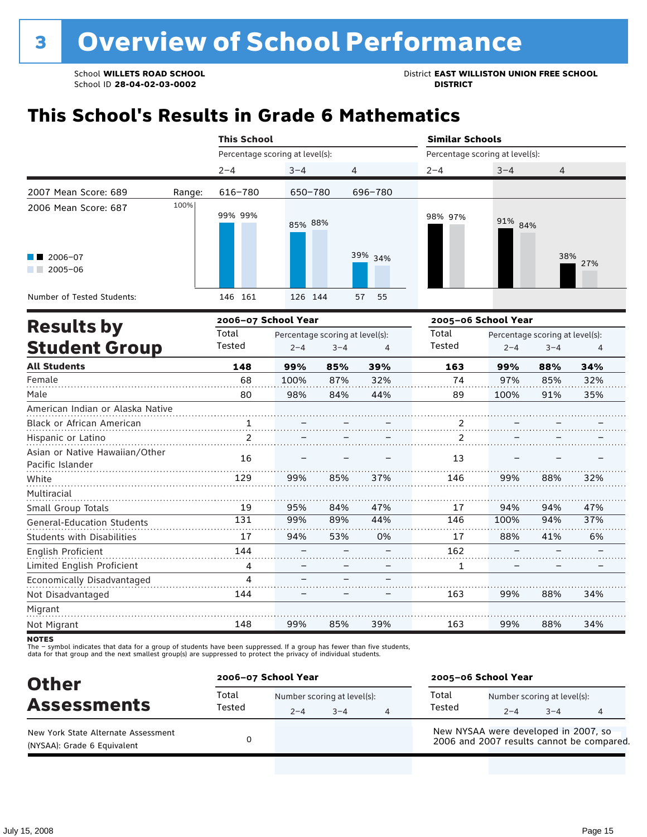School **WILLETS ROAD SCHOOL**<br>School ID 28-04-02-03-0002<br>**DISTRICT** DISTRICT

# **This School's Results in Grade 6 Mathematics**

|                                     |        | <b>This School</b>              |                                 |         |          |                                 | <b>Similar Schools</b> |                                 |     |  |  |
|-------------------------------------|--------|---------------------------------|---------------------------------|---------|----------|---------------------------------|------------------------|---------------------------------|-----|--|--|
|                                     |        | Percentage scoring at level(s): |                                 |         |          | Percentage scoring at level(s): |                        |                                 |     |  |  |
|                                     |        | $2 - 4$                         | $3 - 4$                         | 4       |          | $2 - 4$                         | $3 - 4$                | 4                               |     |  |  |
| 2007 Mean Score: 689                | Range: | 616-780                         | 650-780                         |         | 696-780  |                                 |                        |                                 |     |  |  |
| 2006 Mean Score: 687<br>$2006 - 07$ | 100%   | 99% 99%                         | 85% 88%                         |         | 39% 34%  | 98% 97%                         | 91% 84%                | 38%                             |     |  |  |
| $2005 - 06$                         |        |                                 |                                 |         |          |                                 |                        |                                 | 27% |  |  |
| Number of Tested Students:          |        | 146 161                         | 126 144                         |         | 57<br>55 |                                 |                        |                                 |     |  |  |
|                                     |        | 2006-07 School Year             |                                 |         |          | 2005-06 School Year             |                        |                                 |     |  |  |
| <b>Results by</b>                   |        | Total                           | Percentage scoring at level(s): |         |          | Total                           |                        | Percentage scoring at level(s): |     |  |  |
| <b>Student Group</b>                |        | Tested                          | $2 - 4$                         | $3 - 4$ | 4        | Tested                          | $2 - 4$                | $3 - 4$                         | 4   |  |  |
| <b>All Students</b>                 |        | 148                             | 99%                             | 85%     | 39%      | 163                             | 99%                    | 88%                             | 34% |  |  |
| Female                              |        | 68                              | 100%                            | 87%     | 32%      | 74                              | 97%                    | 85%                             | 32% |  |  |
| Male                                |        | 80                              | 98%                             | 84%     | 44%      | 89                              | 100%                   | 91%                             | 35% |  |  |
| American Indian or Alaska Native    |        |                                 |                                 |         |          |                                 |                        |                                 |     |  |  |

| American Indian or Alaska Native  |     |     |     |     |     |      |     |     |
|-----------------------------------|-----|-----|-----|-----|-----|------|-----|-----|
| <b>Black or African American</b>  |     |     |     |     |     |      |     |     |
| Hispanic or Latino                |     |     |     |     | っ   |      |     |     |
| Asian or Native Hawaiian/Other    | 16  |     |     |     | 13  |      |     |     |
| Pacific Islander                  |     |     |     |     |     |      |     |     |
| White                             | 129 | 99% | 85% | 37% | 146 | 99%  | 88% | 32% |
| Multiracial                       |     |     |     |     |     |      |     |     |
| Small Group Totals                | 19  | 95% | 84% | 47% | 17  | 94%  | 94% | 47% |
| <b>General-Education Students</b> | 131 | 99% | 89% | 44% | 146 | 100% | 94% | 37% |
| <b>Students with Disabilities</b> | 17  | 94% | 53% | 0%  | 17  | 88%  | 41% | 6%  |
| English Proficient                | 144 |     |     |     | 162 |      |     |     |
| Limited English Proficient        | 4   |     |     |     | 1   |      |     |     |
| Economically Disadvantaged        | 4   |     |     |     |     |      |     |     |
| Not Disadvantaged                 | 144 |     |     |     | 163 | 99%  | 88% | 34% |
| Migrant                           |     |     |     |     |     |      |     |     |
| Not Migrant                       | 148 | 99% | 85% | 39% | 163 | 99%  | 88% | 34% |

**NOTES** 

The – symbol indicates that data for a group of students have been suppressed. If a group has fewer than five students,<br>data for that group and the next smallest group(s) are suppressed to protect the privacy of individual

| <b>Other</b>                                                       | 2006-07 School Year |         |                                        |   | 2005-06 School Year                  |         |                                        |                                           |  |
|--------------------------------------------------------------------|---------------------|---------|----------------------------------------|---|--------------------------------------|---------|----------------------------------------|-------------------------------------------|--|
| <b>Assessments</b>                                                 | Total<br>Tested     | $2 - 4$ | Number scoring at level(s):<br>$3 - 4$ | 4 | Total<br>Tested                      | $2 - 4$ | Number scoring at level(s):<br>$3 - 4$ |                                           |  |
| New York State Alternate Assessment<br>(NYSAA): Grade 6 Equivalent |                     |         |                                        |   | New NYSAA were developed in 2007, so |         |                                        | 2006 and 2007 results cannot be compared. |  |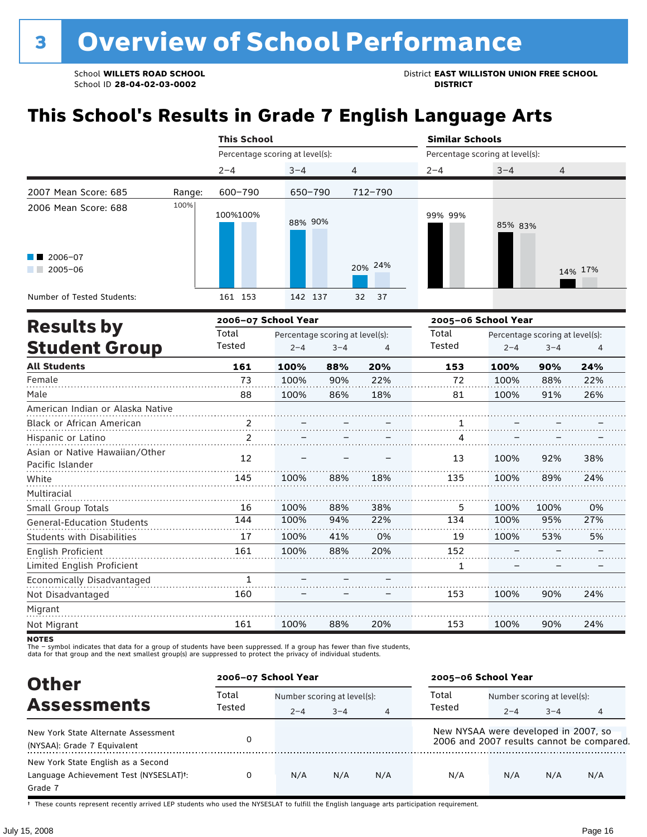School **WILLETS ROAD SCHOOL** District **EAST WILLISTON UNION FREE SCHOOL**

## **This School's Results in Grade 7 English Language Arts**

|                                                                                      |        | <b>This School</b>              |         |                                 |         | <b>Similar Schools</b>          |                                 |         |         |  |  |
|--------------------------------------------------------------------------------------|--------|---------------------------------|---------|---------------------------------|---------|---------------------------------|---------------------------------|---------|---------|--|--|
|                                                                                      |        | Percentage scoring at level(s): |         |                                 |         | Percentage scoring at level(s): |                                 |         |         |  |  |
|                                                                                      |        | $2 - 4$                         | $3 - 4$ | 4                               |         | $2 - 4$                         | $3 - 4$                         | 4       |         |  |  |
| 2007 Mean Score: 685                                                                 | Range: | 600-790                         | 650-790 |                                 | 712-790 |                                 |                                 |         |         |  |  |
| 2006 Mean Score: 688                                                                 | 100%   | 100%100%                        | 88% 90% |                                 |         | 99% 99%                         | 85% 83%                         |         |         |  |  |
| $2006 - 07$<br>$2005 - 06$                                                           |        |                                 |         |                                 | 20% 24% |                                 |                                 |         | 14% 17% |  |  |
| Number of Tested Students:                                                           |        | 161 153                         | 142 137 | 32                              | 37      |                                 |                                 |         |         |  |  |
|                                                                                      |        | 2006-07 School Year             |         |                                 |         | 2005-06 School Year             |                                 |         |         |  |  |
| <b>Results by</b>                                                                    |        | Total                           |         | Percentage scoring at level(s): |         | Total                           | Percentage scoring at level(s): |         |         |  |  |
| <b>Student Group</b>                                                                 |        | Tested                          | $2 - 4$ | $3 - 4$                         | 4       | Tested                          | $2 - 4$                         | $3 - 4$ |         |  |  |
| <b>All Students</b>                                                                  |        | 161                             | 100%    | 88%                             | 20%     | 153                             | 100%                            | 90%     | 24%     |  |  |
| Female                                                                               |        | 73                              | 100%    | 90%                             | 22%     | 72                              | 100%                            | 88%     | 22%     |  |  |
| Male                                                                                 |        | 88                              | 100%    | 86%                             | 18%     | 81                              | 100%                            | 91%     | 26%     |  |  |
| American Indian or Alaska Native                                                     |        |                                 |         |                                 |         |                                 |                                 |         |         |  |  |
| Black or African American 2. $\frac{2}{1}$ $\frac{1}{1}$ $\frac{1}{1}$ $\frac{1}{1}$ |        |                                 |         |                                 |         |                                 |                                 |         |         |  |  |
| Hispanic or Latino                                                                   |        | 2                               |         |                                 |         | 4                               |                                 |         |         |  |  |
| Asian or Native Hawaiian/Other<br>Pacific Islander                                   |        | 12                              |         |                                 |         | 13                              | 100%                            | 92%     | 38%     |  |  |
| White                                                                                |        | 145                             | 100%    | 88%                             | 18%     | 135                             | 100%                            | 89%     | 24%     |  |  |
| Multiracial                                                                          |        |                                 |         |                                 |         |                                 |                                 |         |         |  |  |

Migrant Not Migrant

Small Group Totals

English Proficient

Not Disadvantaged

General-Education Students Students with Disabilities

Limited English Proficient Economically Disadvantaged

The – symbol indicates that data for a group of students have been suppressed. If a group has fewer than five students,

100% 100% 100% 100%

88% 94% 41% 88%

38% 22% 0% 20%

100% 100% 100% – –

100% 95% 53% – –

0% 27% 5% – –

24%

24%

. . . . . . . . .

90%

90%

100%

100%

153

153

– –

20%

– –

88%

– –

100%

1 160

161

data for that group and the next smallest group(s) are suppressed to protect the privacy of individual students.

| <b>Other</b>                                                                            |        | 2005-06 School Year<br>2006-07 School Year |         |     |                                      |                             |         |                                           |  |
|-----------------------------------------------------------------------------------------|--------|--------------------------------------------|---------|-----|--------------------------------------|-----------------------------|---------|-------------------------------------------|--|
| <b>Assessments</b>                                                                      | Total  | Number scoring at level(s):                |         |     | Total                                | Number scoring at level(s): |         |                                           |  |
|                                                                                         | Tested | $2 - 4$                                    | $3 - 4$ | 4   | Tested                               | $2 - 4$                     | $3 - 4$ | 4                                         |  |
| New York State Alternate Assessment<br>(NYSAA): Grade 7 Equivalent                      |        |                                            |         |     | New NYSAA were developed in 2007, so |                             |         | 2006 and 2007 results cannot be compared. |  |
| New York State English as a Second<br>Language Achievement Test (NYSESLAT)t:<br>Grade 7 |        | N/A                                        | N/A     | N/A | N/A                                  | N/A                         | N/A     | N/A                                       |  |

† These counts represent recently arrived LEP students who used the NYSESLAT to fulfill the English language arts participation requirement.

**NOTES**